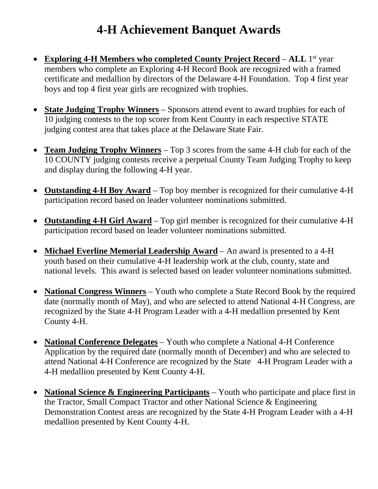## **4-H Achievement Banquet Awards**

- **Exploring 4-H Members who completed County Project Record ALL** 1st year members who complete an Exploring 4-H Record Book are recognized with a framed certificate and medallion by directors of the Delaware 4-H Foundation. Top 4 first year boys and top 4 first year girls are recognized with trophies.
- **State Judging Trophy Winners** Sponsors attend event to award trophies for each of 10 judging contests to the top scorer from Kent County in each respective STATE judging contest area that takes place at the Delaware State Fair.
- **Team Judging Trophy Winners** Top 3 scores from the same 4-H club for each of the 10 COUNTY judging contests receive a perpetual County Team Judging Trophy to keep and display during the following 4-H year.
- **Outstanding 4-H Boy Award** Top boy member is recognized for their cumulative 4-H participation record based on leader volunteer nominations submitted.
- **Outstanding 4-H Girl Award** Top girl member is recognized for their cumulative 4-H participation record based on leader volunteer nominations submitted.
- **Michael Everline Memorial Leadership Award** An award is presented to a 4-H youth based on their cumulative 4-H leadership work at the club, county, state and national levels. This award is selected based on leader volunteer nominations submitted.
- **National Congress Winners** Youth who complete a State Record Book by the required date (normally month of May), and who are selected to attend National 4-H Congress, are recognized by the State 4-H Program Leader with a 4-H medallion presented by Kent County 4-H.
- **National Conference Delegates** Youth who complete a National 4-H Conference Application by the required date (normally month of December) and who are selected to attend National 4-H Conference are recognized by the State 4-H Program Leader with a 4-H medallion presented by Kent County 4-H.
- **National Science & Engineering Participants** Youth who participate and place first in the Tractor, Small Compact Tractor and other National Science & Engineering Demonstration Contest areas are recognized by the State 4-H Program Leader with a 4-H medallion presented by Kent County 4-H.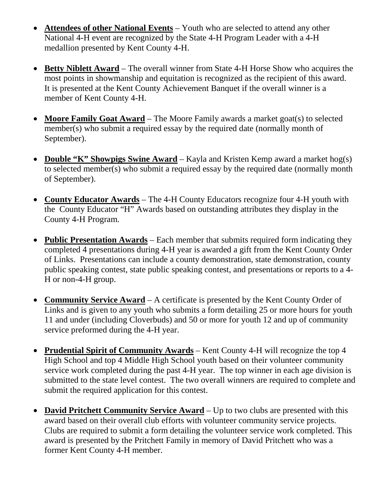- **Attendees of other National Events** Youth who are selected to attend any other National 4-H event are recognized by the State 4-H Program Leader with a 4-H medallion presented by Kent County 4-H.
- **Betty Niblett Award** The overall winner from State 4-H Horse Show who acquires the most points in showmanship and equitation is recognized as the recipient of this award. It is presented at the Kent County Achievement Banquet if the overall winner is a member of Kent County 4-H.
- **Moore Family Goat Award** The Moore Family awards a market goat(s) to selected member(s) who submit a required essay by the required date (normally month of September).
- **Double "K" Showpigs Swine Award** Kayla and Kristen Kemp award a market hog(s) to selected member(s) who submit a required essay by the required date (normally month of September).
- **County Educator Awards** The 4-H County Educators recognize four 4-H youth with the County Educator "H" Awards based on outstanding attributes they display in the County 4-H Program.
- **Public Presentation Awards** Each member that submits required form indicating they completed 4 presentations during 4-H year is awarded a gift from the Kent County Order of Links. Presentations can include a county demonstration, state demonstration, county public speaking contest, state public speaking contest, and presentations or reports to a 4- H or non-4-H group.
- **Community Service Award** A certificate is presented by the Kent County Order of Links and is given to any youth who submits a form detailing 25 or more hours for youth 11 and under (including Cloverbuds) and 50 or more for youth 12 and up of community service preformed during the 4-H year.
- **Prudential Spirit of Community Awards** Kent County 4-H will recognize the top 4 High School and top 4 Middle High School youth based on their volunteer community service work completed during the past 4-H year. The top winner in each age division is submitted to the state level contest. The two overall winners are required to complete and submit the required application for this contest.
- **David Pritchett Community Service Award** Up to two clubs are presented with this award based on their overall club efforts with volunteer community service projects. Clubs are required to submit a form detailing the volunteer service work completed. This award is presented by the Pritchett Family in memory of David Pritchett who was a former Kent County 4-H member.